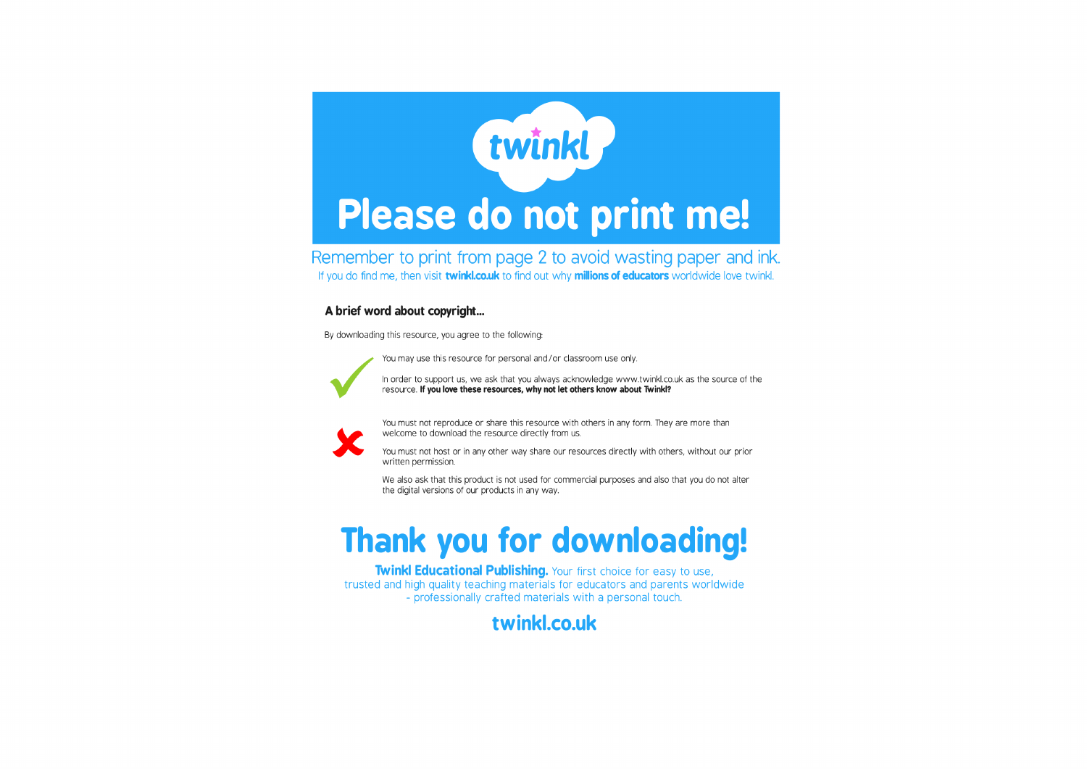

Remember to print from page 2 to avoid wasting paper and ink. If you do find me, then visit twinkl.co.uk to find out why millions of educators worldwide love twinkl.

## A brief word about copyright...

By downloading this resource, you agree to the following:

You may use this resource for personal and/or classroom use only.



In order to support us, we ask that you always acknowledge www.twinkl.co.uk as the source of the resource. If you love these resources, why not let others know about Twinkl?



You must not reproduce or share this resource with others in any form. They are more than welcome to download the resource directly from us.

You must not host or in any other way share our resources directly with others, without our prior written permission.

We also ask that this product is not used for commercial purposes and also that you do not alter the digital versions of our products in any way.

## **Thank you for downloading!**

Twinkl Educational Publishing. Your first choice for easy to use, trusted and high quality teaching materials for educators and parents worldwide - professionally crafted materials with a personal touch.

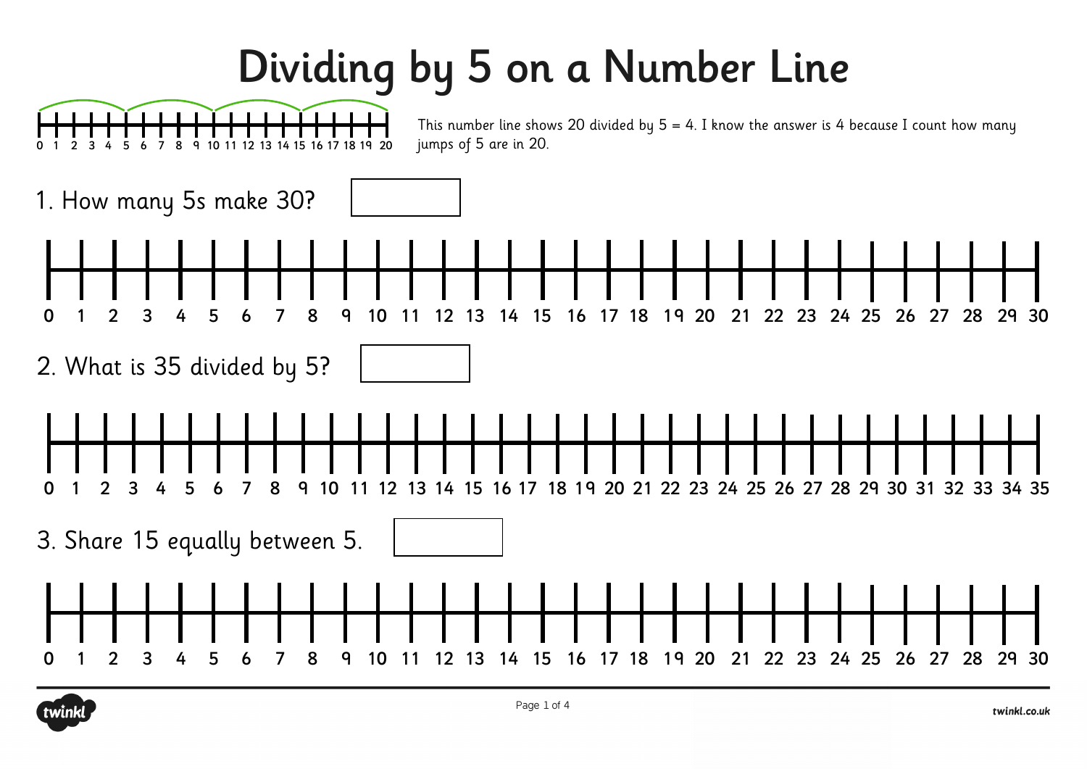## Dividing by 5 on a Number Line



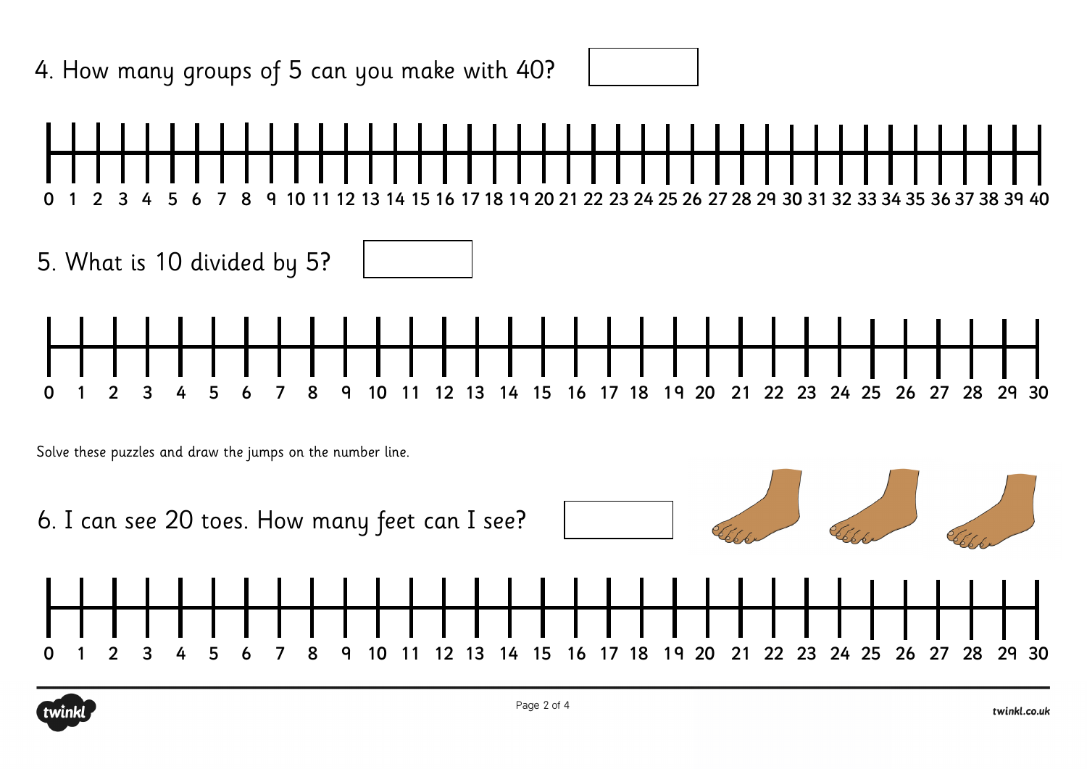

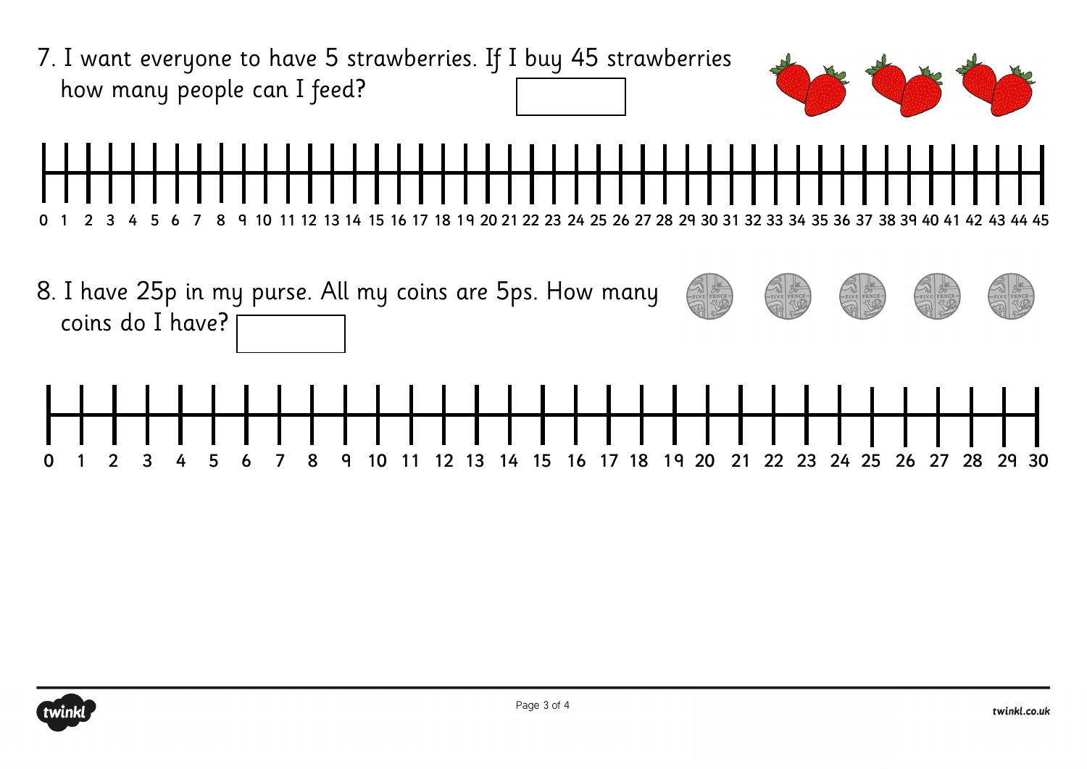